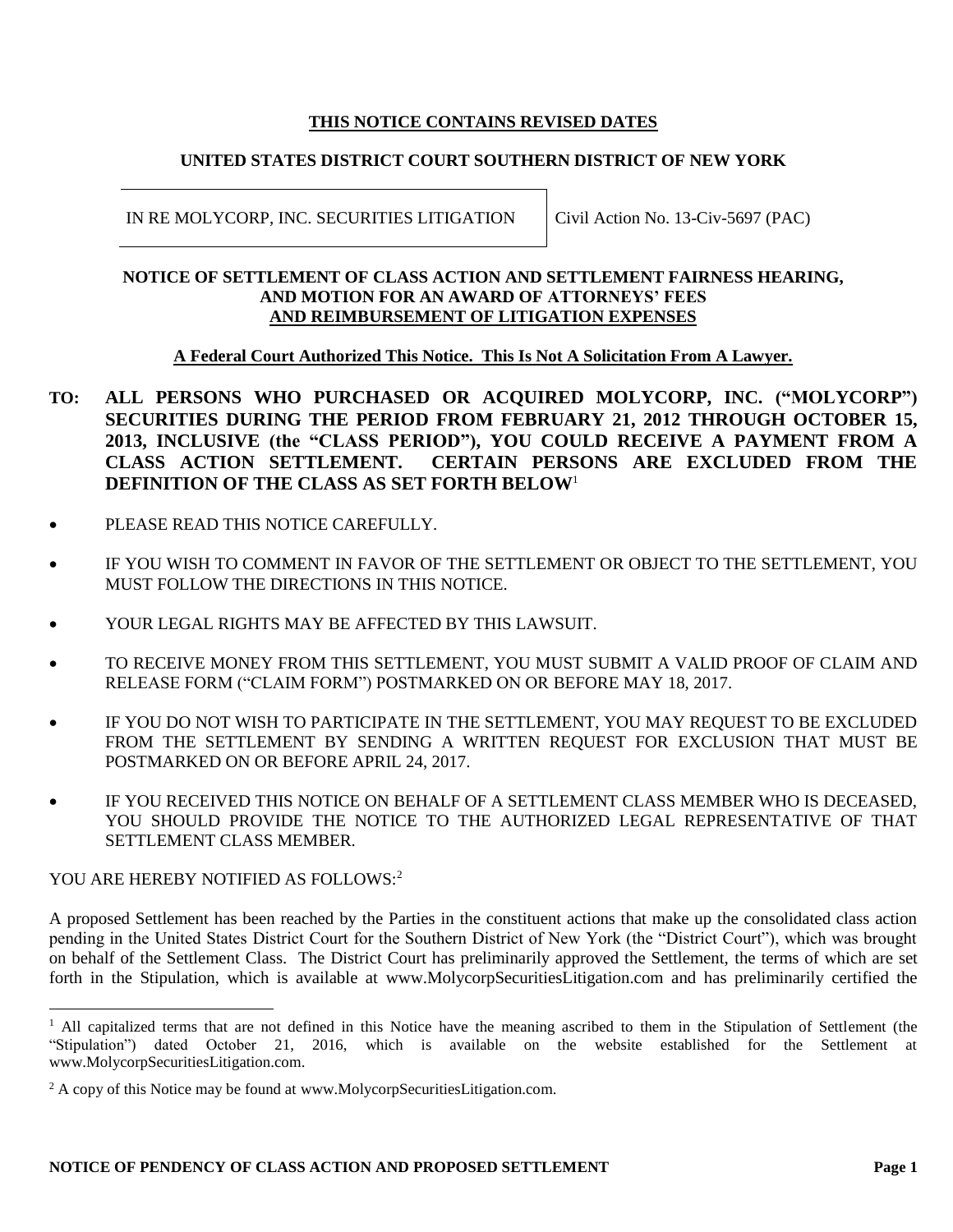# **THIS NOTICE CONTAINS REVISED DATES**

# **UNITED STATES DISTRICT COURT SOUTHERN DISTRICT OF NEW YORK**

IN RE MOLYCORP, INC. SECURITIES LITIGATION | Civil Action No. 13-Civ-5697 (PAC)

#### **NOTICE OF SETTLEMENT OF CLASS ACTION AND SETTLEMENT FAIRNESS HEARING, AND MOTION FOR AN AWARD OF ATTORNEYS' FEES AND REIMBURSEMENT OF LITIGATION EXPENSES**

# **A Federal Court Authorized This Notice. This Is Not A Solicitation From A Lawyer.**

- **TO: ALL PERSONS WHO PURCHASED OR ACQUIRED MOLYCORP, INC. ("MOLYCORP") SECURITIES DURING THE PERIOD FROM FEBRUARY 21, 2012 THROUGH OCTOBER 15, 2013, INCLUSIVE (the "CLASS PERIOD"), YOU COULD RECEIVE A PAYMENT FROM A CLASS ACTION SETTLEMENT. CERTAIN PERSONS ARE EXCLUDED FROM THE DEFINITION OF THE CLASS AS SET FORTH BELOW**<sup>1</sup>
- PLEASE READ THIS NOTICE CAREFULLY.
- IF YOU WISH TO COMMENT IN FAVOR OF THE SETTLEMENT OR OBJECT TO THE SETTLEMENT, YOU MUST FOLLOW THE DIRECTIONS IN THIS NOTICE.
- YOUR LEGAL RIGHTS MAY BE AFFECTED BY THIS LAWSUIT.
- TO RECEIVE MONEY FROM THIS SETTLEMENT, YOU MUST SUBMIT A VALID PROOF OF CLAIM AND RELEASE FORM ("CLAIM FORM") POSTMARKED ON OR BEFORE MAY 18, 2017.
- IF YOU DO NOT WISH TO PARTICIPATE IN THE SETTLEMENT, YOU MAY REQUEST TO BE EXCLUDED FROM THE SETTLEMENT BY SENDING A WRITTEN REQUEST FOR EXCLUSION THAT MUST BE POSTMARKED ON OR BEFORE APRIL 24, 2017.
- IF YOU RECEIVED THIS NOTICE ON BEHALF OF A SETTLEMENT CLASS MEMBER WHO IS DECEASED, YOU SHOULD PROVIDE THE NOTICE TO THE AUTHORIZED LEGAL REPRESENTATIVE OF THAT SETTLEMENT CLASS MEMBER.

### YOU ARE HEREBY NOTIFIED AS FOLLOWS:<sup>2</sup>

 $\overline{a}$ 

A proposed Settlement has been reached by the Parties in the constituent actions that make up the consolidated class action pending in the United States District Court for the Southern District of New York (the "District Court"), which was brought on behalf of the Settlement Class. The District Court has preliminarily approved the Settlement, the terms of which are set forth in the Stipulation, which is available at www.MolycorpSecuritiesLitigation.com and has preliminarily certified the

<sup>&</sup>lt;sup>1</sup> All capitalized terms that are not defined in this Notice have the meaning ascribed to them in the Stipulation of Settlement (the "Stipulation") dated October 21, 2016, which is available on the website established for the Settlement at www.MolycorpSecuritiesLitigation.com.

 $2 A$  copy of this Notice may be found at www.MolycorpSecuritiesLitigation.com.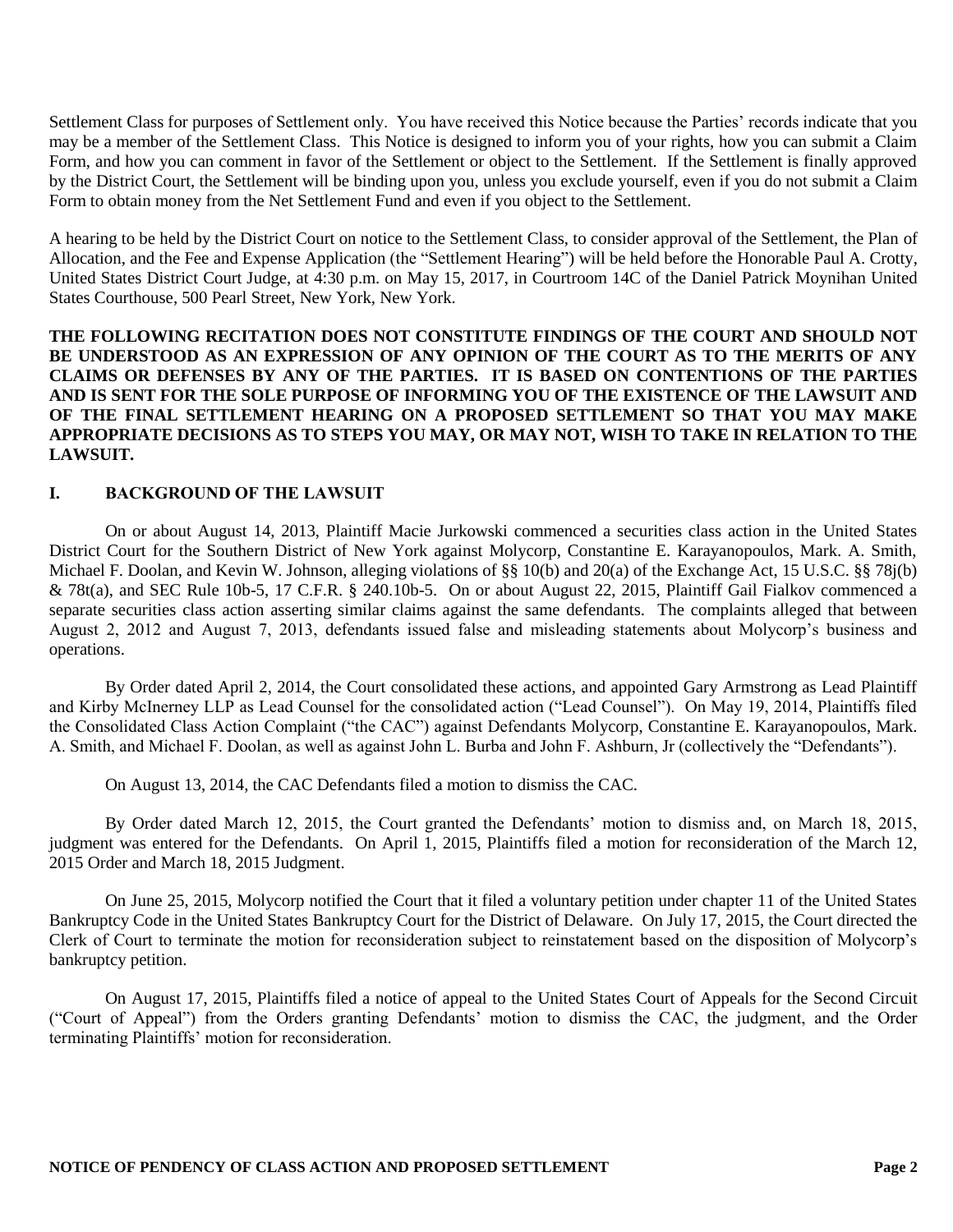Settlement Class for purposes of Settlement only. You have received this Notice because the Parties' records indicate that you may be a member of the Settlement Class. This Notice is designed to inform you of your rights, how you can submit a Claim Form, and how you can comment in favor of the Settlement or object to the Settlement. If the Settlement is finally approved by the District Court, the Settlement will be binding upon you, unless you exclude yourself, even if you do not submit a Claim Form to obtain money from the Net Settlement Fund and even if you object to the Settlement.

A hearing to be held by the District Court on notice to the Settlement Class, to consider approval of the Settlement, the Plan of Allocation, and the Fee and Expense Application (the "Settlement Hearing") will be held before the Honorable Paul A. Crotty, United States District Court Judge, at 4:30 p.m. on May 15, 2017, in Courtroom 14C of the Daniel Patrick Moynihan United States Courthouse, 500 Pearl Street, New York, New York.

**THE FOLLOWING RECITATION DOES NOT CONSTITUTE FINDINGS OF THE COURT AND SHOULD NOT BE UNDERSTOOD AS AN EXPRESSION OF ANY OPINION OF THE COURT AS TO THE MERITS OF ANY CLAIMS OR DEFENSES BY ANY OF THE PARTIES. IT IS BASED ON CONTENTIONS OF THE PARTIES AND IS SENT FOR THE SOLE PURPOSE OF INFORMING YOU OF THE EXISTENCE OF THE LAWSUIT AND OF THE FINAL SETTLEMENT HEARING ON A PROPOSED SETTLEMENT SO THAT YOU MAY MAKE APPROPRIATE DECISIONS AS TO STEPS YOU MAY, OR MAY NOT, WISH TO TAKE IN RELATION TO THE LAWSUIT.**

#### **I. BACKGROUND OF THE LAWSUIT**

On or about August 14, 2013, Plaintiff Macie Jurkowski commenced a securities class action in the United States District Court for the Southern District of New York against Molycorp, Constantine E. Karayanopoulos, Mark. A. Smith, Michael F. Doolan, and Kevin W. Johnson, alleging violations of §§ 10(b) and 20(a) of the Exchange Act, 15 U.S.C. §§ 78j(b) & 78t(a), and SEC Rule 10b-5, 17 C.F.R. § 240.10b-5. On or about August 22, 2015, Plaintiff Gail Fialkov commenced a separate securities class action asserting similar claims against the same defendants. The complaints alleged that between August 2, 2012 and August 7, 2013, defendants issued false and misleading statements about Molycorp's business and operations.

By Order dated April 2, 2014, the Court consolidated these actions, and appointed Gary Armstrong as Lead Plaintiff and Kirby McInerney LLP as Lead Counsel for the consolidated action ("Lead Counsel"). On May 19, 2014, Plaintiffs filed the Consolidated Class Action Complaint ("the CAC") against Defendants Molycorp, Constantine E. Karayanopoulos, Mark. A. Smith, and Michael F. Doolan, as well as against John L. Burba and John F. Ashburn, Jr (collectively the "Defendants").

On August 13, 2014, the CAC Defendants filed a motion to dismiss the CAC.

By Order dated March 12, 2015, the Court granted the Defendants' motion to dismiss and, on March 18, 2015, judgment was entered for the Defendants. On April 1, 2015, Plaintiffs filed a motion for reconsideration of the March 12, 2015 Order and March 18, 2015 Judgment.

On June 25, 2015, Molycorp notified the Court that it filed a voluntary petition under chapter 11 of the United States Bankruptcy Code in the United States Bankruptcy Court for the District of Delaware. On July 17, 2015, the Court directed the Clerk of Court to terminate the motion for reconsideration subject to reinstatement based on the disposition of Molycorp's bankruptcy petition.

On August 17, 2015, Plaintiffs filed a notice of appeal to the United States Court of Appeals for the Second Circuit ("Court of Appeal") from the Orders granting Defendants' motion to dismiss the CAC, the judgment, and the Order terminating Plaintiffs' motion for reconsideration.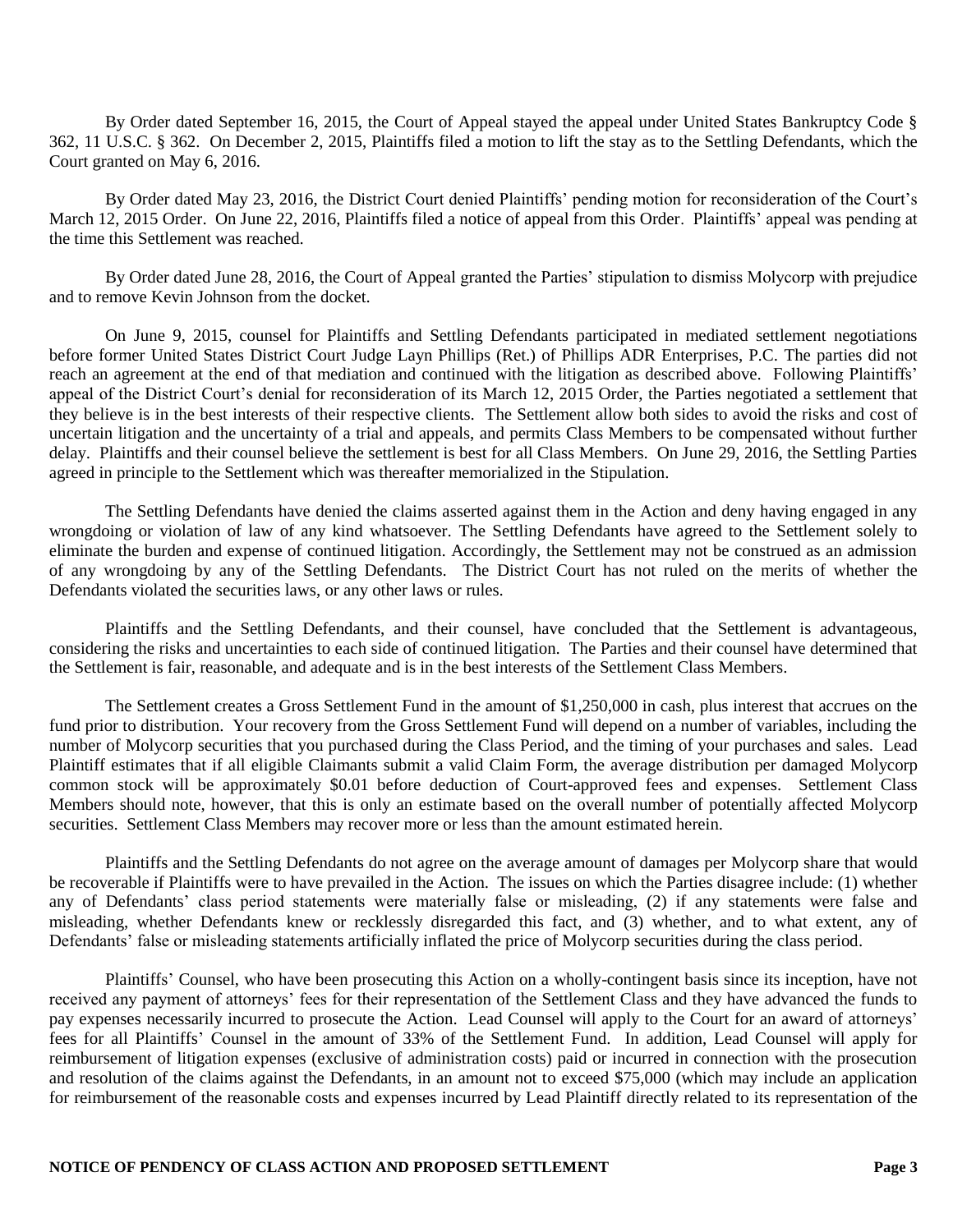By Order dated September 16, 2015, the Court of Appeal stayed the appeal under United States Bankruptcy Code § 362, 11 U.S.C. § 362. On December 2, 2015, Plaintiffs filed a motion to lift the stay as to the Settling Defendants, which the Court granted on May 6, 2016.

By Order dated May 23, 2016, the District Court denied Plaintiffs' pending motion for reconsideration of the Court's March 12, 2015 Order. On June 22, 2016, Plaintiffs filed a notice of appeal from this Order. Plaintiffs' appeal was pending at the time this Settlement was reached.

By Order dated June 28, 2016, the Court of Appeal granted the Parties' stipulation to dismiss Molycorp with prejudice and to remove Kevin Johnson from the docket.

On June 9, 2015, counsel for Plaintiffs and Settling Defendants participated in mediated settlement negotiations before former United States District Court Judge Layn Phillips (Ret.) of Phillips ADR Enterprises, P.C. The parties did not reach an agreement at the end of that mediation and continued with the litigation as described above. Following Plaintiffs' appeal of the District Court's denial for reconsideration of its March 12, 2015 Order, the Parties negotiated a settlement that they believe is in the best interests of their respective clients. The Settlement allow both sides to avoid the risks and cost of uncertain litigation and the uncertainty of a trial and appeals, and permits Class Members to be compensated without further delay. Plaintiffs and their counsel believe the settlement is best for all Class Members. On June 29, 2016, the Settling Parties agreed in principle to the Settlement which was thereafter memorialized in the Stipulation.

The Settling Defendants have denied the claims asserted against them in the Action and deny having engaged in any wrongdoing or violation of law of any kind whatsoever. The Settling Defendants have agreed to the Settlement solely to eliminate the burden and expense of continued litigation. Accordingly, the Settlement may not be construed as an admission of any wrongdoing by any of the Settling Defendants. The District Court has not ruled on the merits of whether the Defendants violated the securities laws, or any other laws or rules.

Plaintiffs and the Settling Defendants, and their counsel, have concluded that the Settlement is advantageous, considering the risks and uncertainties to each side of continued litigation. The Parties and their counsel have determined that the Settlement is fair, reasonable, and adequate and is in the best interests of the Settlement Class Members.

The Settlement creates a Gross Settlement Fund in the amount of \$1,250,000 in cash, plus interest that accrues on the fund prior to distribution. Your recovery from the Gross Settlement Fund will depend on a number of variables, including the number of Molycorp securities that you purchased during the Class Period, and the timing of your purchases and sales. Lead Plaintiff estimates that if all eligible Claimants submit a valid Claim Form, the average distribution per damaged Molycorp common stock will be approximately \$0.01 before deduction of Court-approved fees and expenses. Settlement Class Members should note, however, that this is only an estimate based on the overall number of potentially affected Molycorp securities. Settlement Class Members may recover more or less than the amount estimated herein.

Plaintiffs and the Settling Defendants do not agree on the average amount of damages per Molycorp share that would be recoverable if Plaintiffs were to have prevailed in the Action. The issues on which the Parties disagree include: (1) whether any of Defendants' class period statements were materially false or misleading, (2) if any statements were false and misleading, whether Defendants knew or recklessly disregarded this fact, and (3) whether, and to what extent, any of Defendants' false or misleading statements artificially inflated the price of Molycorp securities during the class period.

Plaintiffs' Counsel, who have been prosecuting this Action on a wholly-contingent basis since its inception, have not received any payment of attorneys' fees for their representation of the Settlement Class and they have advanced the funds to pay expenses necessarily incurred to prosecute the Action. Lead Counsel will apply to the Court for an award of attorneys' fees for all Plaintiffs' Counsel in the amount of 33% of the Settlement Fund. In addition, Lead Counsel will apply for reimbursement of litigation expenses (exclusive of administration costs) paid or incurred in connection with the prosecution and resolution of the claims against the Defendants, in an amount not to exceed \$75,000 (which may include an application for reimbursement of the reasonable costs and expenses incurred by Lead Plaintiff directly related to its representation of the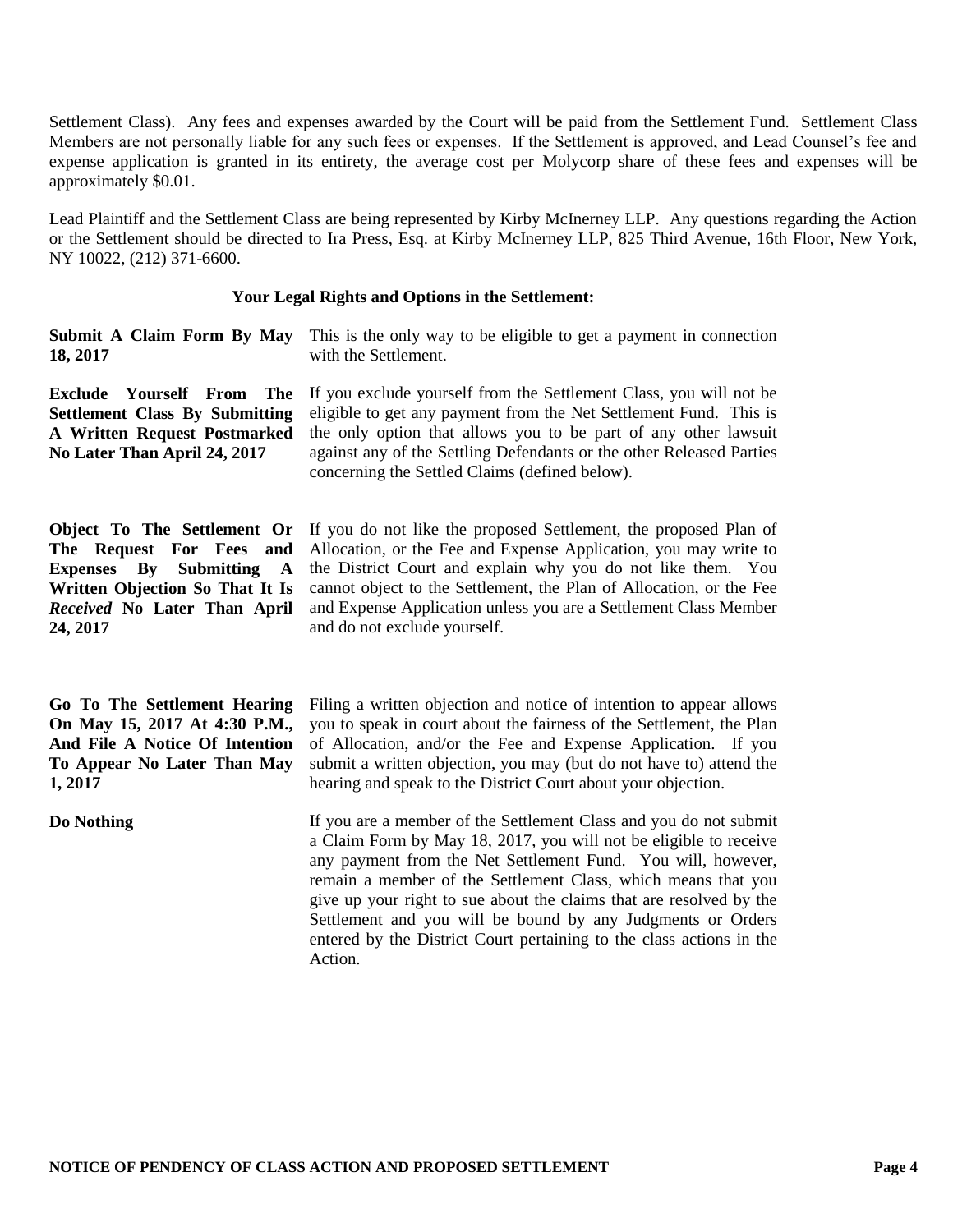Settlement Class). Any fees and expenses awarded by the Court will be paid from the Settlement Fund. Settlement Class Members are not personally liable for any such fees or expenses. If the Settlement is approved, and Lead Counsel's fee and expense application is granted in its entirety, the average cost per Molycorp share of these fees and expenses will be approximately \$0.01.

Lead Plaintiff and the Settlement Class are being represented by Kirby McInerney LLP. Any questions regarding the Action or the Settlement should be directed to Ira Press, Esq. at Kirby McInerney LLP, 825 Third Avenue, 16th Floor, New York, NY 10022, (212) 371-6600.

#### **Your Legal Rights and Options in the Settlement:**

| 18, 2017 | <b>Submit A Claim Form By May</b> This is the only way to be eligible to get a payment in connection<br>with the Settlement. |  |
|----------|------------------------------------------------------------------------------------------------------------------------------|--|
|          |                                                                                                                              |  |

**Exclude Yourself From The Settlement Class By Submitting A Written Request Postmarked No Later Than April 24, 2017**

If you exclude yourself from the Settlement Class, you will not be eligible to get any payment from the Net Settlement Fund. This is the only option that allows you to be part of any other lawsuit against any of the Settling Defendants or the other Released Parties concerning the Settled Claims (defined below).

**Object To The Settlement Or The Request For Fees and Expenses By Submitting A Written Objection So That It Is**  *Received* **No Later Than April 24, 2017**

If you do not like the proposed Settlement, the proposed Plan of Allocation, or the Fee and Expense Application, you may write to the District Court and explain why you do not like them. You cannot object to the Settlement, the Plan of Allocation, or the Fee and Expense Application unless you are a Settlement Class Member and do not exclude yourself.

**Go To The Settlement Hearing On May 15, 2017 At 4:30 P.M., And File A Notice Of Intention To Appear No Later Than May 1, 2017**

Filing a written objection and notice of intention to appear allows you to speak in court about the fairness of the Settlement, the Plan of Allocation, and/or the Fee and Expense Application. If you submit a written objection, you may (but do not have to) attend the hearing and speak to the District Court about your objection.

**Do Nothing** If you are a member of the Settlement Class and you do not submit a Claim Form by May 18, 2017, you will not be eligible to receive any payment from the Net Settlement Fund. You will, however, remain a member of the Settlement Class, which means that you give up your right to sue about the claims that are resolved by the Settlement and you will be bound by any Judgments or Orders entered by the District Court pertaining to the class actions in the Action.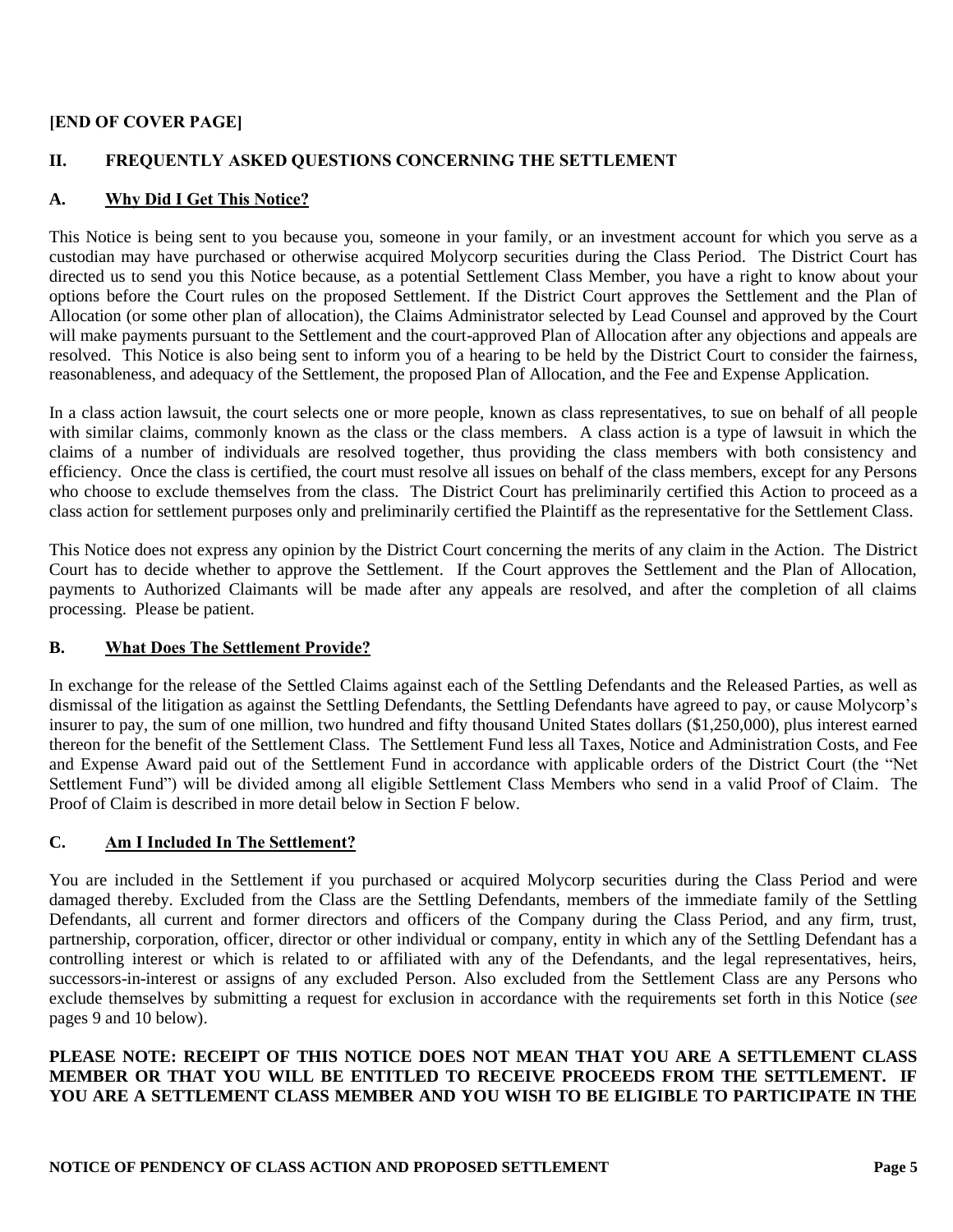# **[END OF COVER PAGE]**

# **II. FREQUENTLY ASKED QUESTIONS CONCERNING THE SETTLEMENT**

# **A. Why Did I Get This Notice?**

This Notice is being sent to you because you, someone in your family, or an investment account for which you serve as a custodian may have purchased or otherwise acquired Molycorp securities during the Class Period. The District Court has directed us to send you this Notice because, as a potential Settlement Class Member, you have a right to know about your options before the Court rules on the proposed Settlement. If the District Court approves the Settlement and the Plan of Allocation (or some other plan of allocation), the Claims Administrator selected by Lead Counsel and approved by the Court will make payments pursuant to the Settlement and the court-approved Plan of Allocation after any objections and appeals are resolved. This Notice is also being sent to inform you of a hearing to be held by the District Court to consider the fairness, reasonableness, and adequacy of the Settlement, the proposed Plan of Allocation, and the Fee and Expense Application.

In a class action lawsuit, the court selects one or more people, known as class representatives, to sue on behalf of all people with similar claims, commonly known as the class or the class members. A class action is a type of lawsuit in which the claims of a number of individuals are resolved together, thus providing the class members with both consistency and efficiency. Once the class is certified, the court must resolve all issues on behalf of the class members, except for any Persons who choose to exclude themselves from the class. The District Court has preliminarily certified this Action to proceed as a class action for settlement purposes only and preliminarily certified the Plaintiff as the representative for the Settlement Class.

This Notice does not express any opinion by the District Court concerning the merits of any claim in the Action. The District Court has to decide whether to approve the Settlement. If the Court approves the Settlement and the Plan of Allocation, payments to Authorized Claimants will be made after any appeals are resolved, and after the completion of all claims processing. Please be patient.

### **B. What Does The Settlement Provide?**

In exchange for the release of the Settled Claims against each of the Settling Defendants and the Released Parties, as well as dismissal of the litigation as against the Settling Defendants, the Settling Defendants have agreed to pay, or cause Molycorp's insurer to pay, the sum of one million, two hundred and fifty thousand United States dollars (\$1,250,000), plus interest earned thereon for the benefit of the Settlement Class. The Settlement Fund less all Taxes, Notice and Administration Costs, and Fee and Expense Award paid out of the Settlement Fund in accordance with applicable orders of the District Court (the "Net Settlement Fund") will be divided among all eligible Settlement Class Members who send in a valid Proof of Claim. The Proof of Claim is described in more detail below in Section F below.

# **C. Am I Included In The Settlement?**

You are included in the Settlement if you purchased or acquired Molycorp securities during the Class Period and were damaged thereby. Excluded from the Class are the Settling Defendants, members of the immediate family of the Settling Defendants, all current and former directors and officers of the Company during the Class Period, and any firm, trust, partnership, corporation, officer, director or other individual or company, entity in which any of the Settling Defendant has a controlling interest or which is related to or affiliated with any of the Defendants, and the legal representatives, heirs, successors-in-interest or assigns of any excluded Person. Also excluded from the Settlement Class are any Persons who exclude themselves by submitting a request for exclusion in accordance with the requirements set forth in this Notice (*see* pages 9 and 10 below).

# **PLEASE NOTE: RECEIPT OF THIS NOTICE DOES NOT MEAN THAT YOU ARE A SETTLEMENT CLASS MEMBER OR THAT YOU WILL BE ENTITLED TO RECEIVE PROCEEDS FROM THE SETTLEMENT. IF YOU ARE A SETTLEMENT CLASS MEMBER AND YOU WISH TO BE ELIGIBLE TO PARTICIPATE IN THE**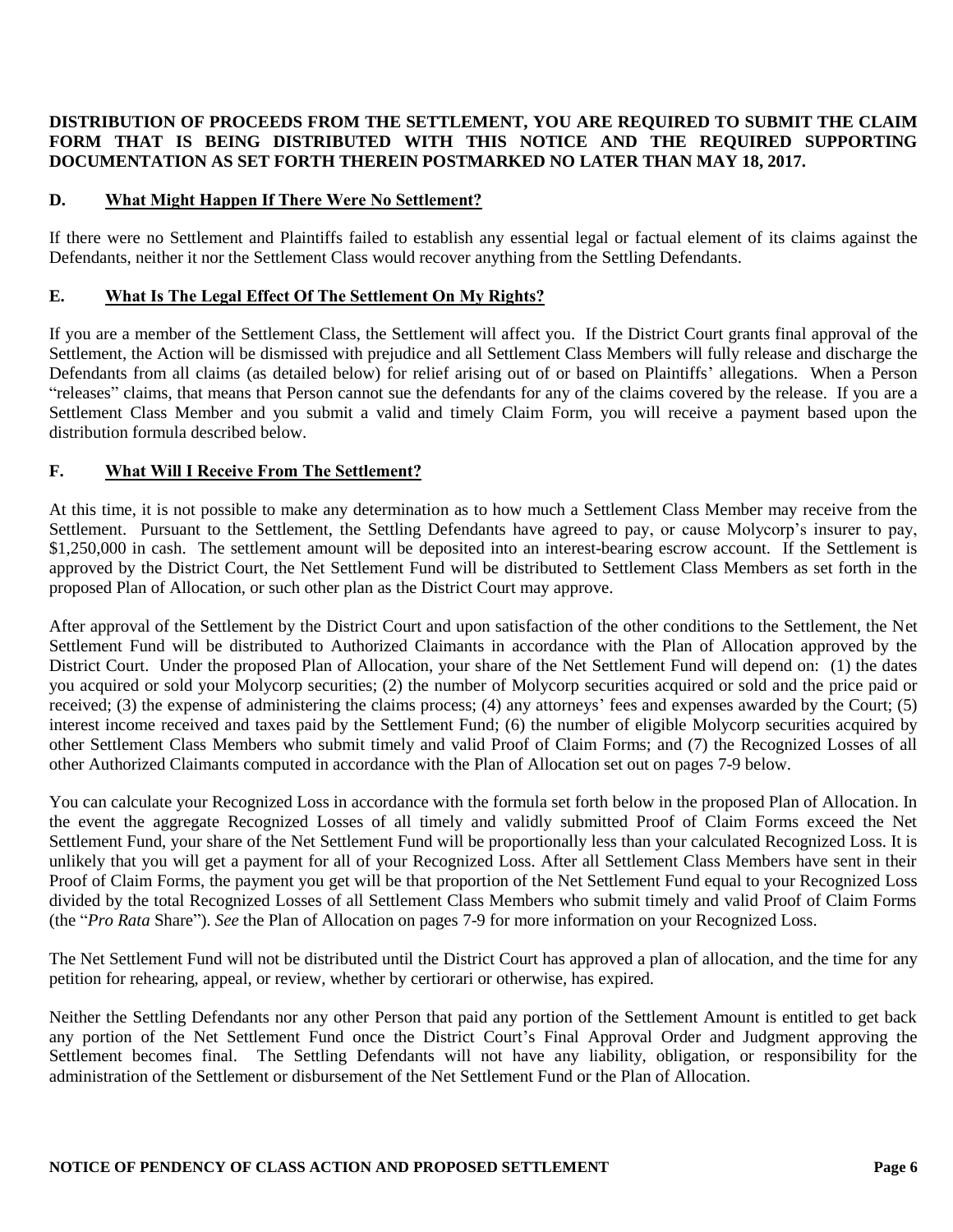# **DISTRIBUTION OF PROCEEDS FROM THE SETTLEMENT, YOU ARE REQUIRED TO SUBMIT THE CLAIM FORM THAT IS BEING DISTRIBUTED WITH THIS NOTICE AND THE REQUIRED SUPPORTING DOCUMENTATION AS SET FORTH THEREIN POSTMARKED NO LATER THAN MAY 18, 2017.**

# **D. What Might Happen If There Were No Settlement?**

If there were no Settlement and Plaintiffs failed to establish any essential legal or factual element of its claims against the Defendants, neither it nor the Settlement Class would recover anything from the Settling Defendants.

### **E. What Is The Legal Effect Of The Settlement On My Rights?**

If you are a member of the Settlement Class, the Settlement will affect you. If the District Court grants final approval of the Settlement, the Action will be dismissed with prejudice and all Settlement Class Members will fully release and discharge the Defendants from all claims (as detailed below) for relief arising out of or based on Plaintiffs' allegations. When a Person "releases" claims, that means that Person cannot sue the defendants for any of the claims covered by the release. If you are a Settlement Class Member and you submit a valid and timely Claim Form, you will receive a payment based upon the distribution formula described below.

# **F. What Will I Receive From The Settlement?**

At this time, it is not possible to make any determination as to how much a Settlement Class Member may receive from the Settlement. Pursuant to the Settlement, the Settling Defendants have agreed to pay, or cause Molycorp's insurer to pay, \$1,250,000 in cash. The settlement amount will be deposited into an interest-bearing escrow account. If the Settlement is approved by the District Court, the Net Settlement Fund will be distributed to Settlement Class Members as set forth in the proposed Plan of Allocation, or such other plan as the District Court may approve.

After approval of the Settlement by the District Court and upon satisfaction of the other conditions to the Settlement, the Net Settlement Fund will be distributed to Authorized Claimants in accordance with the Plan of Allocation approved by the District Court. Under the proposed Plan of Allocation, your share of the Net Settlement Fund will depend on: (1) the dates you acquired or sold your Molycorp securities; (2) the number of Molycorp securities acquired or sold and the price paid or received; (3) the expense of administering the claims process; (4) any attorneys' fees and expenses awarded by the Court; (5) interest income received and taxes paid by the Settlement Fund; (6) the number of eligible Molycorp securities acquired by other Settlement Class Members who submit timely and valid Proof of Claim Forms; and (7) the Recognized Losses of all other Authorized Claimants computed in accordance with the Plan of Allocation set out on pages 7-9 below.

You can calculate your Recognized Loss in accordance with the formula set forth below in the proposed Plan of Allocation. In the event the aggregate Recognized Losses of all timely and validly submitted Proof of Claim Forms exceed the Net Settlement Fund, your share of the Net Settlement Fund will be proportionally less than your calculated Recognized Loss. It is unlikely that you will get a payment for all of your Recognized Loss. After all Settlement Class Members have sent in their Proof of Claim Forms, the payment you get will be that proportion of the Net Settlement Fund equal to your Recognized Loss divided by the total Recognized Losses of all Settlement Class Members who submit timely and valid Proof of Claim Forms (the "*Pro Rata* Share"). *See* the Plan of Allocation on pages 7-9 for more information on your Recognized Loss.

The Net Settlement Fund will not be distributed until the District Court has approved a plan of allocation, and the time for any petition for rehearing, appeal, or review, whether by certiorari or otherwise, has expired.

Neither the Settling Defendants nor any other Person that paid any portion of the Settlement Amount is entitled to get back any portion of the Net Settlement Fund once the District Court's Final Approval Order and Judgment approving the Settlement becomes final. The Settling Defendants will not have any liability, obligation, or responsibility for the administration of the Settlement or disbursement of the Net Settlement Fund or the Plan of Allocation.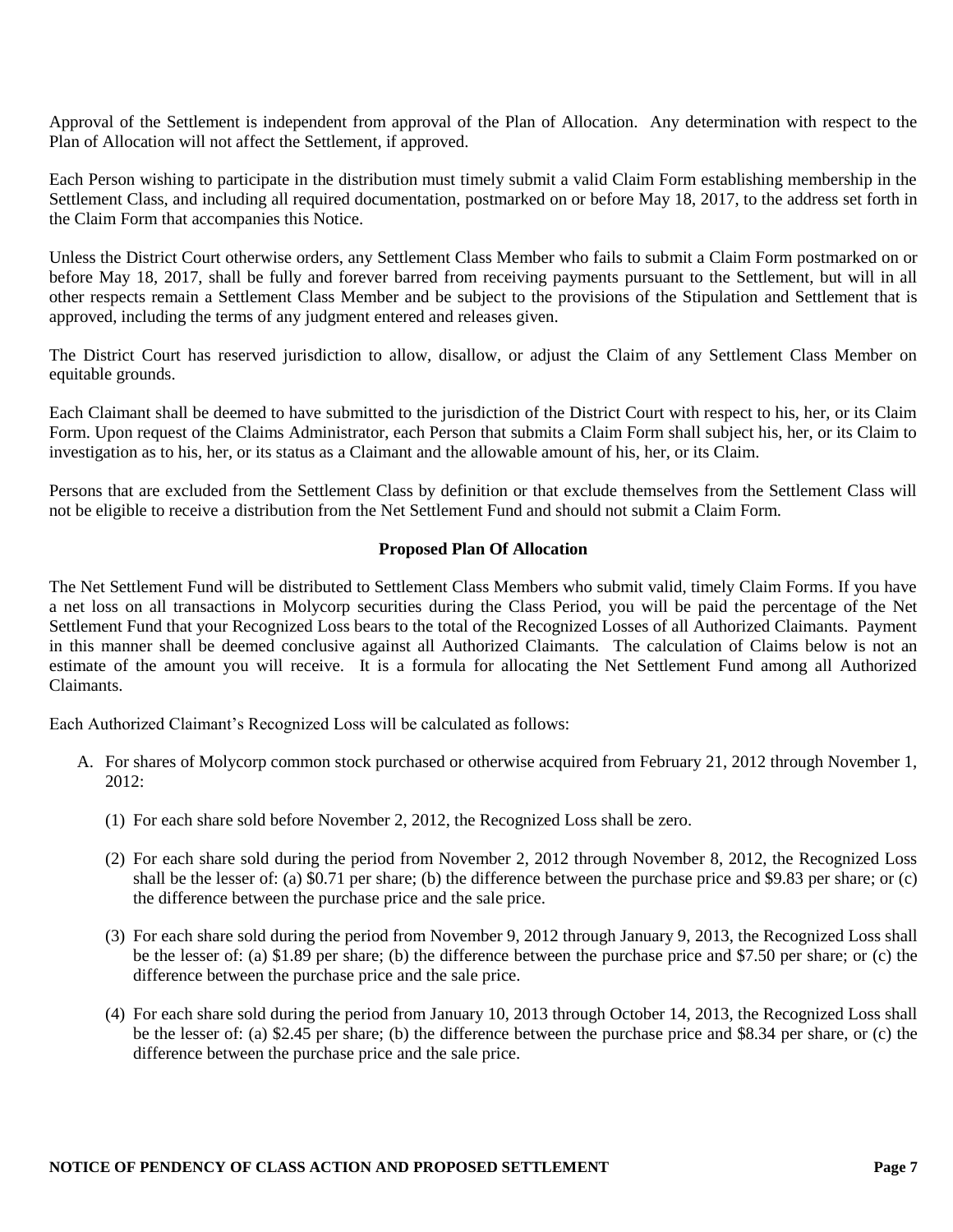Approval of the Settlement is independent from approval of the Plan of Allocation. Any determination with respect to the Plan of Allocation will not affect the Settlement, if approved.

Each Person wishing to participate in the distribution must timely submit a valid Claim Form establishing membership in the Settlement Class, and including all required documentation, postmarked on or before May 18, 2017, to the address set forth in the Claim Form that accompanies this Notice.

Unless the District Court otherwise orders, any Settlement Class Member who fails to submit a Claim Form postmarked on or before May 18, 2017, shall be fully and forever barred from receiving payments pursuant to the Settlement, but will in all other respects remain a Settlement Class Member and be subject to the provisions of the Stipulation and Settlement that is approved, including the terms of any judgment entered and releases given.

The District Court has reserved jurisdiction to allow, disallow, or adjust the Claim of any Settlement Class Member on equitable grounds.

Each Claimant shall be deemed to have submitted to the jurisdiction of the District Court with respect to his, her, or its Claim Form. Upon request of the Claims Administrator, each Person that submits a Claim Form shall subject his, her, or its Claim to investigation as to his, her, or its status as a Claimant and the allowable amount of his, her, or its Claim.

Persons that are excluded from the Settlement Class by definition or that exclude themselves from the Settlement Class will not be eligible to receive a distribution from the Net Settlement Fund and should not submit a Claim Form.

#### **Proposed Plan Of Allocation**

The Net Settlement Fund will be distributed to Settlement Class Members who submit valid, timely Claim Forms. If you have a net loss on all transactions in Molycorp securities during the Class Period, you will be paid the percentage of the Net Settlement Fund that your Recognized Loss bears to the total of the Recognized Losses of all Authorized Claimants. Payment in this manner shall be deemed conclusive against all Authorized Claimants. The calculation of Claims below is not an estimate of the amount you will receive. It is a formula for allocating the Net Settlement Fund among all Authorized Claimants.

Each Authorized Claimant's Recognized Loss will be calculated as follows:

- A. For shares of Molycorp common stock purchased or otherwise acquired from February 21, 2012 through November 1,  $2012:$ 
	- (1) For each share sold before November 2, 2012, the Recognized Loss shall be zero.
	- (2) For each share sold during the period from November 2, 2012 through November 8, 2012, the Recognized Loss shall be the lesser of: (a) \$0.71 per share; (b) the difference between the purchase price and \$9.83 per share; or (c) the difference between the purchase price and the sale price.
	- (3) For each share sold during the period from November 9, 2012 through January 9, 2013, the Recognized Loss shall be the lesser of: (a) \$1.89 per share; (b) the difference between the purchase price and \$7.50 per share; or (c) the difference between the purchase price and the sale price.
	- (4) For each share sold during the period from January 10, 2013 through October 14, 2013, the Recognized Loss shall be the lesser of: (a) \$2.45 per share; (b) the difference between the purchase price and \$8.34 per share, or (c) the difference between the purchase price and the sale price.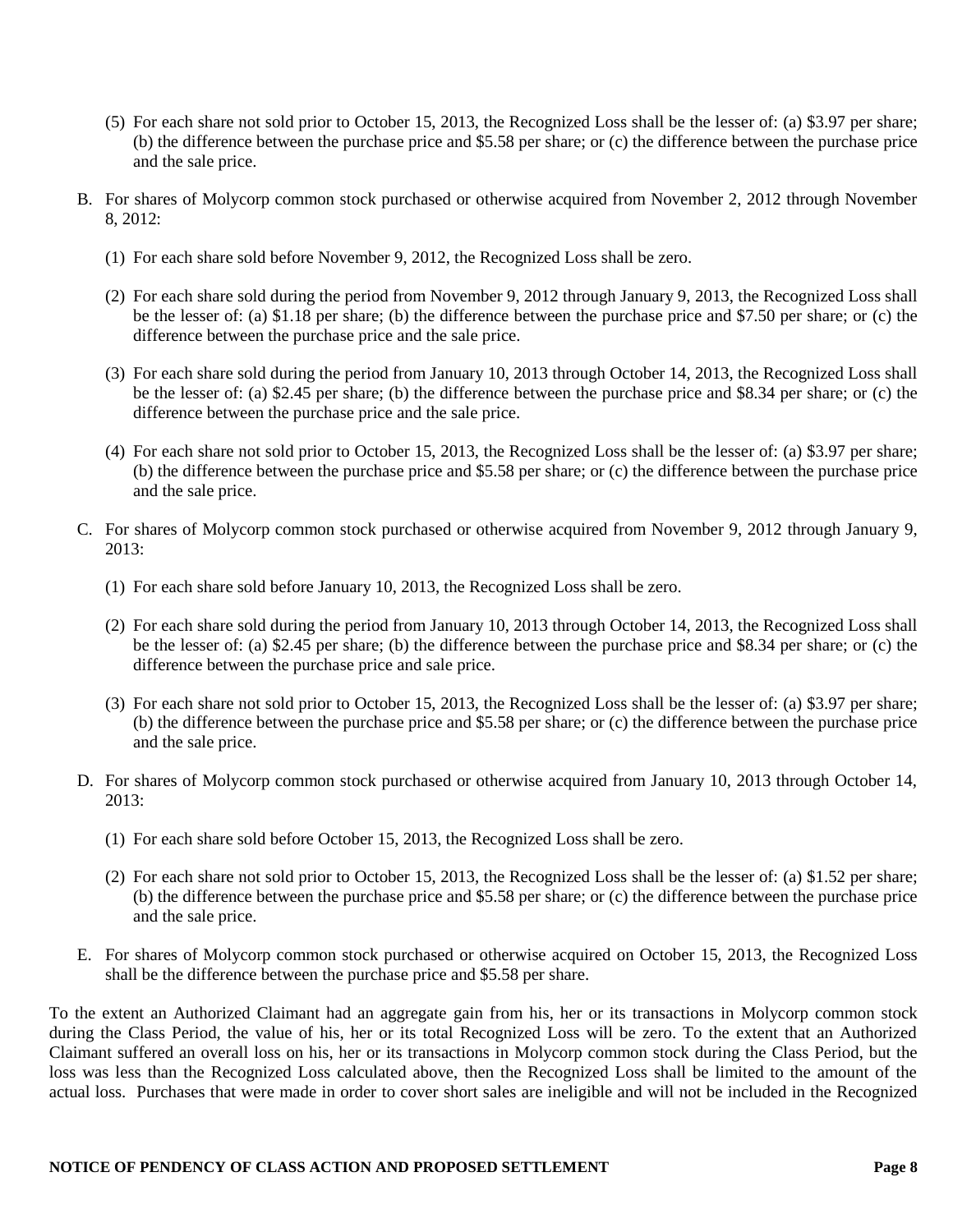- (5) For each share not sold prior to October 15, 2013, the Recognized Loss shall be the lesser of: (a) \$3.97 per share; (b) the difference between the purchase price and \$5.58 per share; or (c) the difference between the purchase price and the sale price.
- B. For shares of Molycorp common stock purchased or otherwise acquired from November 2, 2012 through November 8, 2012:
	- (1) For each share sold before November 9, 2012, the Recognized Loss shall be zero.
	- (2) For each share sold during the period from November 9, 2012 through January 9, 2013, the Recognized Loss shall be the lesser of: (a) \$1.18 per share; (b) the difference between the purchase price and \$7.50 per share; or (c) the difference between the purchase price and the sale price.
	- (3) For each share sold during the period from January 10, 2013 through October 14, 2013, the Recognized Loss shall be the lesser of: (a) \$2.45 per share; (b) the difference between the purchase price and \$8.34 per share; or (c) the difference between the purchase price and the sale price.
	- (4) For each share not sold prior to October 15, 2013, the Recognized Loss shall be the lesser of: (a) \$3.97 per share; (b) the difference between the purchase price and \$5.58 per share; or (c) the difference between the purchase price and the sale price.
- C. For shares of Molycorp common stock purchased or otherwise acquired from November 9, 2012 through January 9,  $2013$ 
	- (1) For each share sold before January 10, 2013, the Recognized Loss shall be zero.
	- (2) For each share sold during the period from January 10, 2013 through October 14, 2013, the Recognized Loss shall be the lesser of: (a) \$2.45 per share; (b) the difference between the purchase price and \$8.34 per share; or (c) the difference between the purchase price and sale price.
	- (3) For each share not sold prior to October 15, 2013, the Recognized Loss shall be the lesser of: (a) \$3.97 per share; (b) the difference between the purchase price and \$5.58 per share; or (c) the difference between the purchase price and the sale price.
- D. For shares of Molycorp common stock purchased or otherwise acquired from January 10, 2013 through October 14, 2013:
	- (1) For each share sold before October 15, 2013, the Recognized Loss shall be zero.
	- (2) For each share not sold prior to October 15, 2013, the Recognized Loss shall be the lesser of: (a) \$1.52 per share; (b) the difference between the purchase price and \$5.58 per share; or (c) the difference between the purchase price and the sale price.
- E. For shares of Molycorp common stock purchased or otherwise acquired on October 15, 2013, the Recognized Loss shall be the difference between the purchase price and \$5.58 per share.

To the extent an Authorized Claimant had an aggregate gain from his, her or its transactions in Molycorp common stock during the Class Period, the value of his, her or its total Recognized Loss will be zero. To the extent that an Authorized Claimant suffered an overall loss on his, her or its transactions in Molycorp common stock during the Class Period, but the loss was less than the Recognized Loss calculated above, then the Recognized Loss shall be limited to the amount of the actual loss. Purchases that were made in order to cover short sales are ineligible and will not be included in the Recognized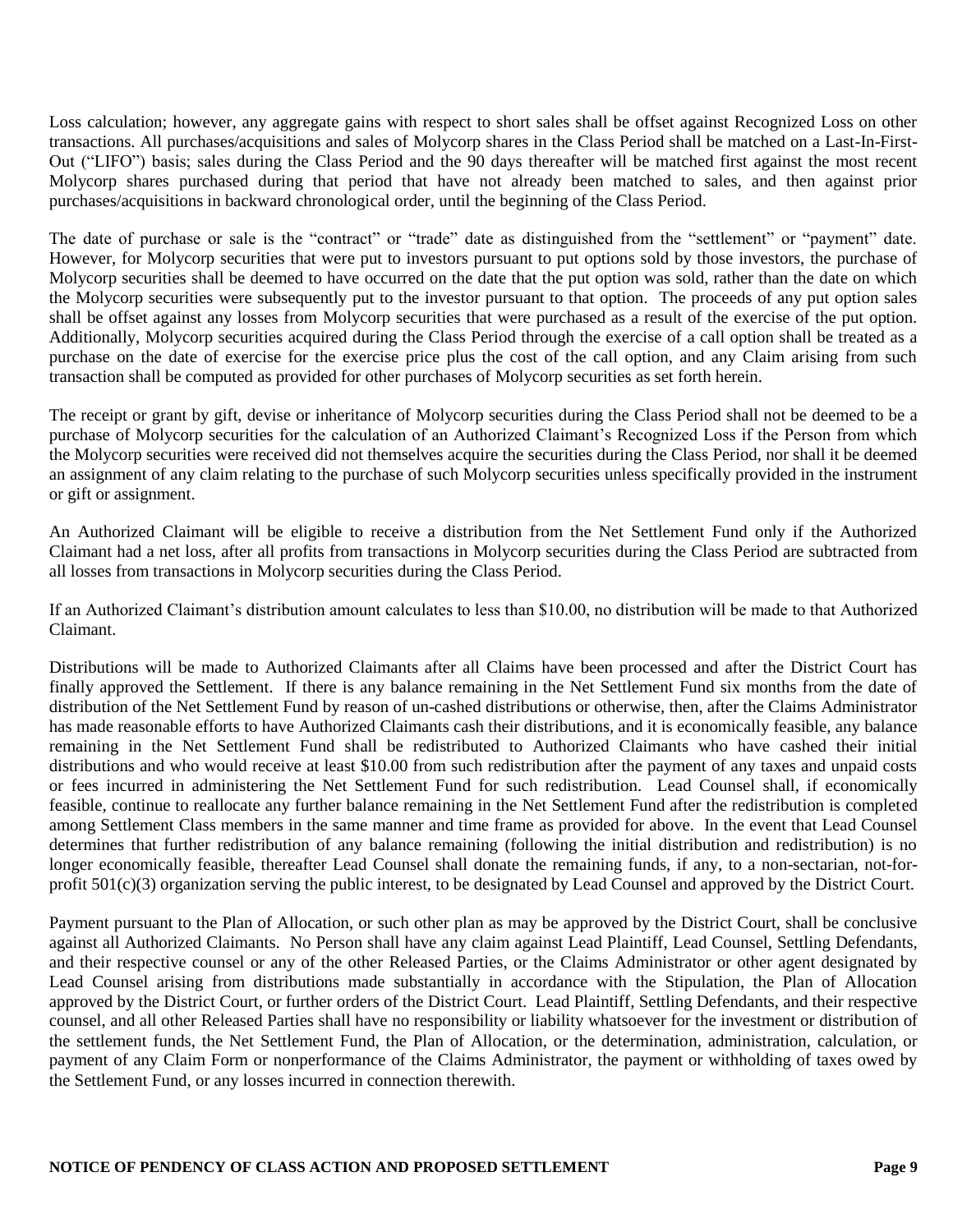Loss calculation; however, any aggregate gains with respect to short sales shall be offset against Recognized Loss on other transactions. All purchases/acquisitions and sales of Molycorp shares in the Class Period shall be matched on a Last-In-First-Out ("LIFO") basis; sales during the Class Period and the 90 days thereafter will be matched first against the most recent Molycorp shares purchased during that period that have not already been matched to sales, and then against prior purchases/acquisitions in backward chronological order, until the beginning of the Class Period.

The date of purchase or sale is the "contract" or "trade" date as distinguished from the "settlement" or "payment" date. However, for Molycorp securities that were put to investors pursuant to put options sold by those investors, the purchase of Molycorp securities shall be deemed to have occurred on the date that the put option was sold, rather than the date on which the Molycorp securities were subsequently put to the investor pursuant to that option. The proceeds of any put option sales shall be offset against any losses from Molycorp securities that were purchased as a result of the exercise of the put option. Additionally, Molycorp securities acquired during the Class Period through the exercise of a call option shall be treated as a purchase on the date of exercise for the exercise price plus the cost of the call option, and any Claim arising from such transaction shall be computed as provided for other purchases of Molycorp securities as set forth herein.

The receipt or grant by gift, devise or inheritance of Molycorp securities during the Class Period shall not be deemed to be a purchase of Molycorp securities for the calculation of an Authorized Claimant's Recognized Loss if the Person from which the Molycorp securities were received did not themselves acquire the securities during the Class Period, nor shall it be deemed an assignment of any claim relating to the purchase of such Molycorp securities unless specifically provided in the instrument or gift or assignment.

An Authorized Claimant will be eligible to receive a distribution from the Net Settlement Fund only if the Authorized Claimant had a net loss, after all profits from transactions in Molycorp securities during the Class Period are subtracted from all losses from transactions in Molycorp securities during the Class Period.

If an Authorized Claimant's distribution amount calculates to less than \$10.00, no distribution will be made to that Authorized Claimant.

Distributions will be made to Authorized Claimants after all Claims have been processed and after the District Court has finally approved the Settlement. If there is any balance remaining in the Net Settlement Fund six months from the date of distribution of the Net Settlement Fund by reason of un-cashed distributions or otherwise, then, after the Claims Administrator has made reasonable efforts to have Authorized Claimants cash their distributions, and it is economically feasible, any balance remaining in the Net Settlement Fund shall be redistributed to Authorized Claimants who have cashed their initial distributions and who would receive at least \$10.00 from such redistribution after the payment of any taxes and unpaid costs or fees incurred in administering the Net Settlement Fund for such redistribution. Lead Counsel shall, if economically feasible, continue to reallocate any further balance remaining in the Net Settlement Fund after the redistribution is completed among Settlement Class members in the same manner and time frame as provided for above. In the event that Lead Counsel determines that further redistribution of any balance remaining (following the initial distribution and redistribution) is no longer economically feasible, thereafter Lead Counsel shall donate the remaining funds, if any, to a non-sectarian, not-forprofit 501(c)(3) organization serving the public interest, to be designated by Lead Counsel and approved by the District Court.

Payment pursuant to the Plan of Allocation, or such other plan as may be approved by the District Court, shall be conclusive against all Authorized Claimants. No Person shall have any claim against Lead Plaintiff, Lead Counsel, Settling Defendants, and their respective counsel or any of the other Released Parties, or the Claims Administrator or other agent designated by Lead Counsel arising from distributions made substantially in accordance with the Stipulation, the Plan of Allocation approved by the District Court, or further orders of the District Court. Lead Plaintiff, Settling Defendants, and their respective counsel, and all other Released Parties shall have no responsibility or liability whatsoever for the investment or distribution of the settlement funds, the Net Settlement Fund, the Plan of Allocation, or the determination, administration, calculation, or payment of any Claim Form or nonperformance of the Claims Administrator, the payment or withholding of taxes owed by the Settlement Fund, or any losses incurred in connection therewith.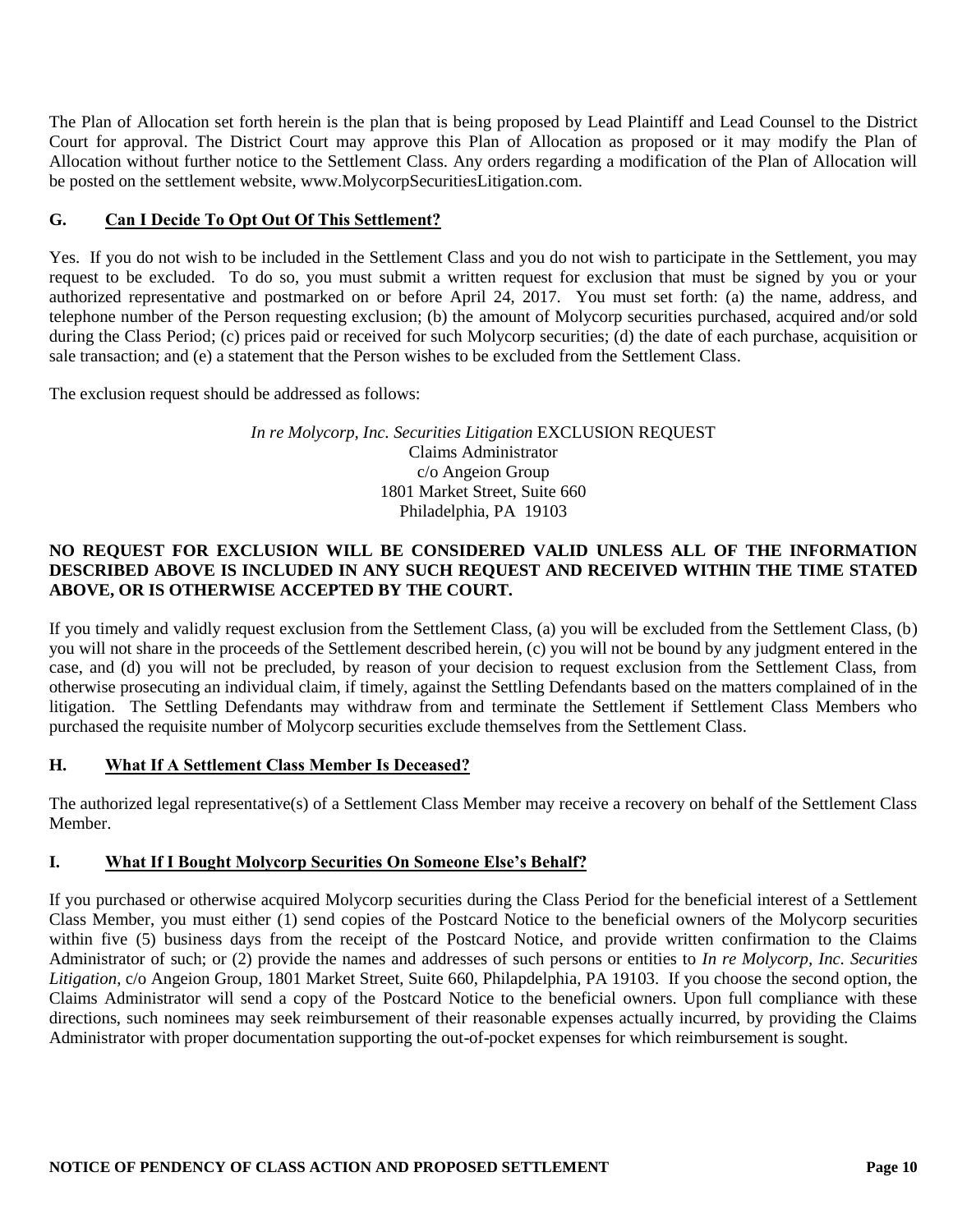The Plan of Allocation set forth herein is the plan that is being proposed by Lead Plaintiff and Lead Counsel to the District Court for approval. The District Court may approve this Plan of Allocation as proposed or it may modify the Plan of Allocation without further notice to the Settlement Class. Any orders regarding a modification of the Plan of Allocation will be posted on the settlement website, www.MolycorpSecuritiesLitigation.com.

# **G. Can I Decide To Opt Out Of This Settlement?**

Yes. If you do not wish to be included in the Settlement Class and you do not wish to participate in the Settlement, you may request to be excluded. To do so, you must submit a written request for exclusion that must be signed by you or your authorized representative and postmarked on or before April 24, 2017. You must set forth: (a) the name, address, and telephone number of the Person requesting exclusion; (b) the amount of Molycorp securities purchased, acquired and/or sold during the Class Period; (c) prices paid or received for such Molycorp securities; (d) the date of each purchase, acquisition or sale transaction; and (e) a statement that the Person wishes to be excluded from the Settlement Class.

The exclusion request should be addressed as follows:

### *In re Molycorp, Inc. Securities Litigation* EXCLUSION REQUEST Claims Administrator c/o Angeion Group 1801 Market Street, Suite 660 Philadelphia, PA 19103

# **NO REQUEST FOR EXCLUSION WILL BE CONSIDERED VALID UNLESS ALL OF THE INFORMATION DESCRIBED ABOVE IS INCLUDED IN ANY SUCH REQUEST AND RECEIVED WITHIN THE TIME STATED ABOVE, OR IS OTHERWISE ACCEPTED BY THE COURT.**

If you timely and validly request exclusion from the Settlement Class, (a) you will be excluded from the Settlement Class, (b) you will not share in the proceeds of the Settlement described herein, (c) you will not be bound by any judgment entered in the case, and (d) you will not be precluded, by reason of your decision to request exclusion from the Settlement Class, from otherwise prosecuting an individual claim, if timely, against the Settling Defendants based on the matters complained of in the litigation. The Settling Defendants may withdraw from and terminate the Settlement if Settlement Class Members who purchased the requisite number of Molycorp securities exclude themselves from the Settlement Class.

### **H. What If A Settlement Class Member Is Deceased?**

The authorized legal representative(s) of a Settlement Class Member may receive a recovery on behalf of the Settlement Class Member.

### **I. What If I Bought Molycorp Securities On Someone Else's Behalf?**

If you purchased or otherwise acquired Molycorp securities during the Class Period for the beneficial interest of a Settlement Class Member, you must either (1) send copies of the Postcard Notice to the beneficial owners of the Molycorp securities within five (5) business days from the receipt of the Postcard Notice, and provide written confirmation to the Claims Administrator of such; or (2) provide the names and addresses of such persons or entities to *In re Molycorp, Inc. Securities Litigation*, c/o Angeion Group, 1801 Market Street, Suite 660, Philapdelphia, PA 19103. If you choose the second option, the Claims Administrator will send a copy of the Postcard Notice to the beneficial owners. Upon full compliance with these directions, such nominees may seek reimbursement of their reasonable expenses actually incurred, by providing the Claims Administrator with proper documentation supporting the out-of-pocket expenses for which reimbursement is sought.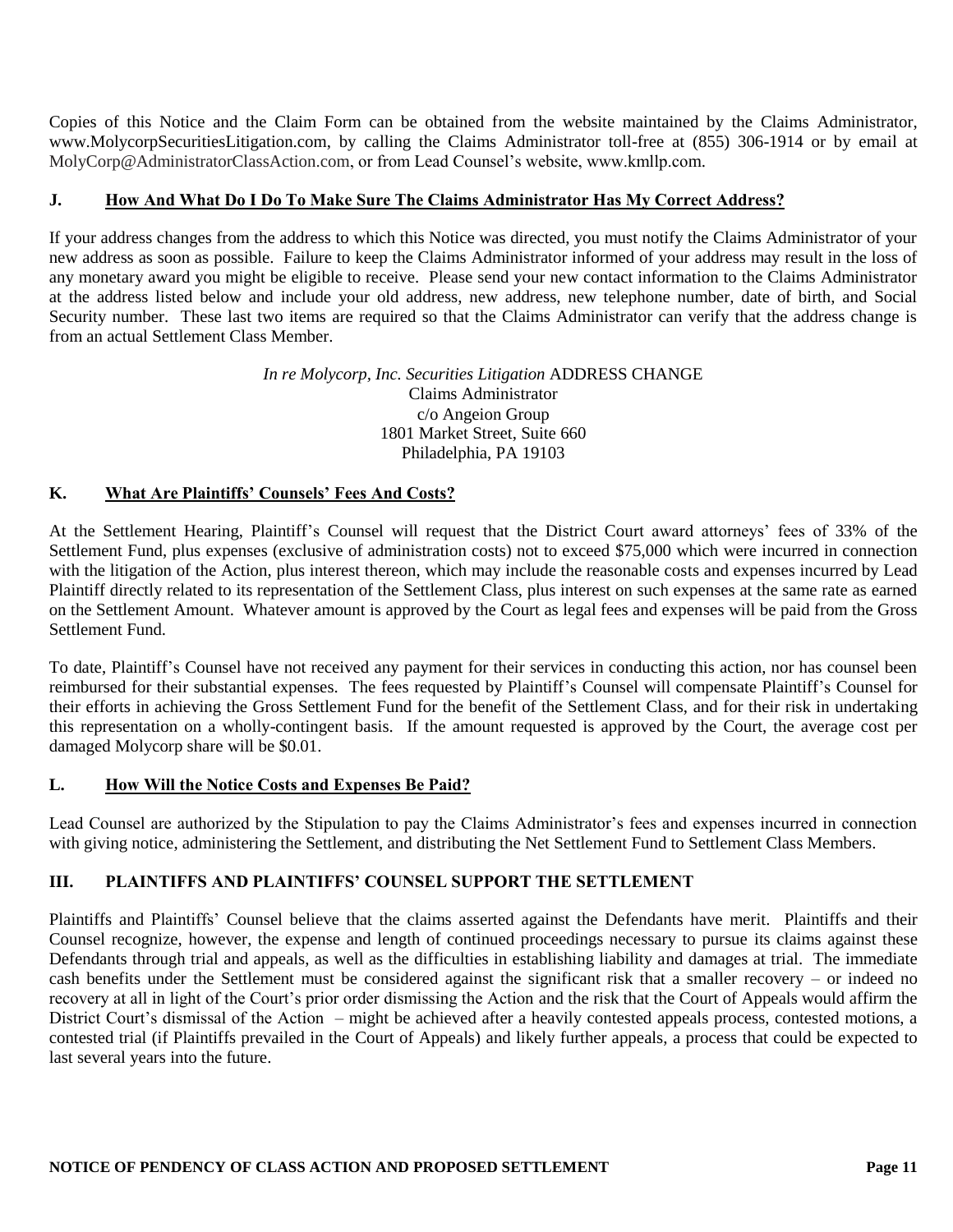Copies of this Notice and the Claim Form can be obtained from the website maintained by the Claims Administrator, www.MolycorpSecuritiesLitigation.com, by calling the Claims Administrator toll-free at (855) 306-1914 or by email at MolyCorp@AdministratorClassAction.com, or from Lead Counsel's website, www.kmllp.com.

# **J. How And What Do I Do To Make Sure The Claims Administrator Has My Correct Address?**

If your address changes from the address to which this Notice was directed, you must notify the Claims Administrator of your new address as soon as possible. Failure to keep the Claims Administrator informed of your address may result in the loss of any monetary award you might be eligible to receive. Please send your new contact information to the Claims Administrator at the address listed below and include your old address, new address, new telephone number, date of birth, and Social Security number. These last two items are required so that the Claims Administrator can verify that the address change is from an actual Settlement Class Member.

### *In re Molycorp, Inc. Securities Litigation* ADDRESS CHANGE Claims Administrator c/o Angeion Group 1801 Market Street, Suite 660 Philadelphia, PA 19103

# **K. What Are Plaintiffs' Counsels' Fees And Costs?**

At the Settlement Hearing, Plaintiff's Counsel will request that the District Court award attorneys' fees of 33% of the Settlement Fund, plus expenses (exclusive of administration costs) not to exceed \$75,000 which were incurred in connection with the litigation of the Action, plus interest thereon, which may include the reasonable costs and expenses incurred by Lead Plaintiff directly related to its representation of the Settlement Class, plus interest on such expenses at the same rate as earned on the Settlement Amount. Whatever amount is approved by the Court as legal fees and expenses will be paid from the Gross Settlement Fund.

To date, Plaintiff's Counsel have not received any payment for their services in conducting this action, nor has counsel been reimbursed for their substantial expenses. The fees requested by Plaintiff's Counsel will compensate Plaintiff's Counsel for their efforts in achieving the Gross Settlement Fund for the benefit of the Settlement Class, and for their risk in undertaking this representation on a wholly-contingent basis. If the amount requested is approved by the Court, the average cost per damaged Molycorp share will be \$0.01.

### **L. How Will the Notice Costs and Expenses Be Paid?**

Lead Counsel are authorized by the Stipulation to pay the Claims Administrator's fees and expenses incurred in connection with giving notice, administering the Settlement, and distributing the Net Settlement Fund to Settlement Class Members.

# **III. PLAINTIFFS AND PLAINTIFFS' COUNSEL SUPPORT THE SETTLEMENT**

Plaintiffs and Plaintiffs' Counsel believe that the claims asserted against the Defendants have merit. Plaintiffs and their Counsel recognize, however, the expense and length of continued proceedings necessary to pursue its claims against these Defendants through trial and appeals, as well as the difficulties in establishing liability and damages at trial. The immediate cash benefits under the Settlement must be considered against the significant risk that a smaller recovery – or indeed no recovery at all in light of the Court's prior order dismissing the Action and the risk that the Court of Appeals would affirm the District Court's dismissal of the Action – might be achieved after a heavily contested appeals process, contested motions, a contested trial (if Plaintiffs prevailed in the Court of Appeals) and likely further appeals, a process that could be expected to last several years into the future.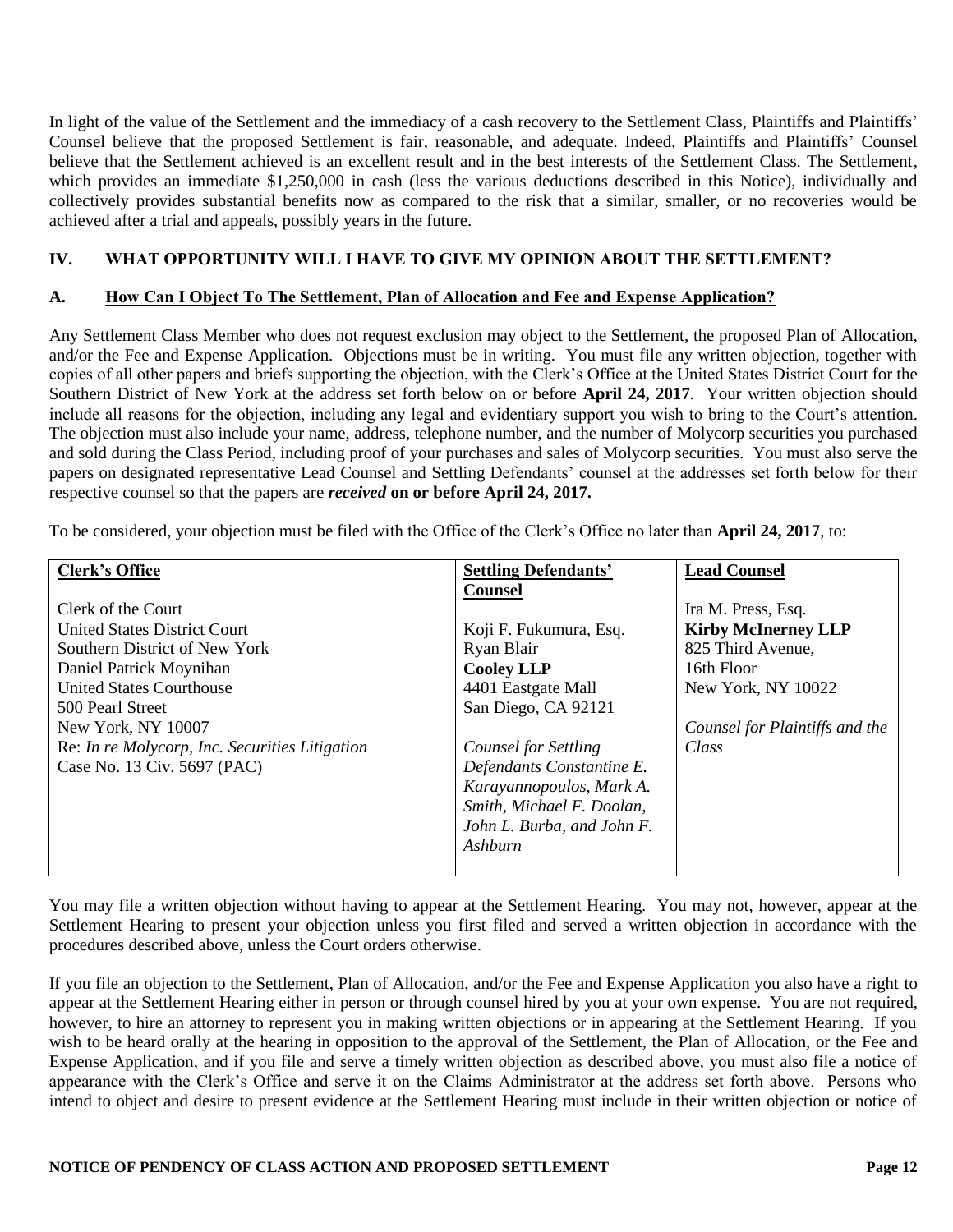In light of the value of the Settlement and the immediacy of a cash recovery to the Settlement Class, Plaintiffs and Plaintiffs' Counsel believe that the proposed Settlement is fair, reasonable, and adequate. Indeed, Plaintiffs and Plaintiffs' Counsel believe that the Settlement achieved is an excellent result and in the best interests of the Settlement Class. The Settlement, which provides an immediate \$1,250,000 in cash (less the various deductions described in this Notice), individually and collectively provides substantial benefits now as compared to the risk that a similar, smaller, or no recoveries would be achieved after a trial and appeals, possibly years in the future.

## **IV. WHAT OPPORTUNITY WILL I HAVE TO GIVE MY OPINION ABOUT THE SETTLEMENT?**

### **A. How Can I Object To The Settlement, Plan of Allocation and Fee and Expense Application?**

Any Settlement Class Member who does not request exclusion may object to the Settlement, the proposed Plan of Allocation, and/or the Fee and Expense Application. Objections must be in writing. You must file any written objection, together with copies of all other papers and briefs supporting the objection, with the Clerk's Office at the United States District Court for the Southern District of New York at the address set forth below on or before **April 24, 2017**. Your written objection should include all reasons for the objection, including any legal and evidentiary support you wish to bring to the Court's attention. The objection must also include your name, address, telephone number, and the number of Molycorp securities you purchased and sold during the Class Period, including proof of your purchases and sales of Molycorp securities. You must also serve the papers on designated representative Lead Counsel and Settling Defendants' counsel at the addresses set forth below for their respective counsel so that the papers are *received* **on or before April 24, 2017.**

To be considered, your objection must be filed with the Office of the Clerk's Office no later than **April 24, 2017**, to:

| <b>Clerk's Office</b>                          | <b>Settling Defendants'</b> | <b>Lead Counsel</b>            |
|------------------------------------------------|-----------------------------|--------------------------------|
|                                                | <b>Counsel</b>              |                                |
| Clerk of the Court                             |                             | Ira M. Press, Esq.             |
| <b>United States District Court</b>            | Koji F. Fukumura, Esq.      | <b>Kirby McInerney LLP</b>     |
| Southern District of New York                  | Ryan Blair                  | 825 Third Avenue,              |
| Daniel Patrick Moynihan                        | <b>Cooley LLP</b>           | 16th Floor                     |
| <b>United States Courthouse</b>                | 4401 Eastgate Mall          | New York, NY 10022             |
| 500 Pearl Street                               | San Diego, CA 92121         |                                |
| New York, NY 10007                             |                             | Counsel for Plaintiffs and the |
| Re: In re Molycorp, Inc. Securities Litigation | <b>Counsel for Settling</b> | Class                          |
| Case No. 13 Civ. 5697 (PAC)                    | Defendants Constantine E.   |                                |
|                                                | Karayannopoulos, Mark A.    |                                |
|                                                | Smith, Michael F. Doolan,   |                                |
|                                                | John L. Burba, and John F.  |                                |
|                                                | Ashburn                     |                                |
|                                                |                             |                                |

You may file a written objection without having to appear at the Settlement Hearing. You may not, however, appear at the Settlement Hearing to present your objection unless you first filed and served a written objection in accordance with the procedures described above, unless the Court orders otherwise.

If you file an objection to the Settlement, Plan of Allocation, and/or the Fee and Expense Application you also have a right to appear at the Settlement Hearing either in person or through counsel hired by you at your own expense. You are not required, however, to hire an attorney to represent you in making written objections or in appearing at the Settlement Hearing. If you wish to be heard orally at the hearing in opposition to the approval of the Settlement, the Plan of Allocation, or the Fee and Expense Application, and if you file and serve a timely written objection as described above, you must also file a notice of appearance with the Clerk's Office and serve it on the Claims Administrator at the address set forth above. Persons who intend to object and desire to present evidence at the Settlement Hearing must include in their written objection or notice of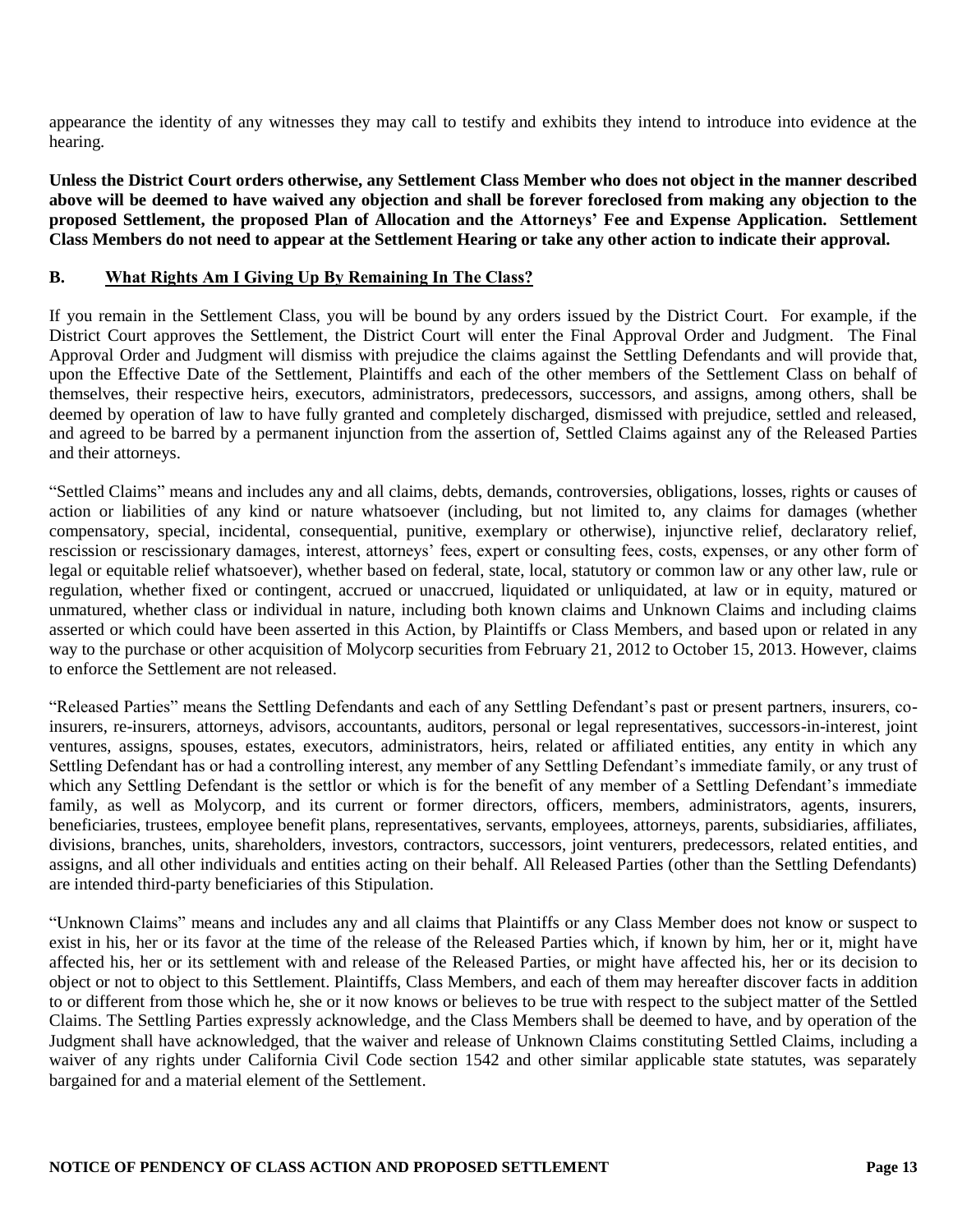appearance the identity of any witnesses they may call to testify and exhibits they intend to introduce into evidence at the hearing.

**Unless the District Court orders otherwise, any Settlement Class Member who does not object in the manner described above will be deemed to have waived any objection and shall be forever foreclosed from making any objection to the proposed Settlement, the proposed Plan of Allocation and the Attorneys' Fee and Expense Application. Settlement Class Members do not need to appear at the Settlement Hearing or take any other action to indicate their approval.** 

# **B. What Rights Am I Giving Up By Remaining In The Class?**

If you remain in the Settlement Class, you will be bound by any orders issued by the District Court. For example, if the District Court approves the Settlement, the District Court will enter the Final Approval Order and Judgment. The Final Approval Order and Judgment will dismiss with prejudice the claims against the Settling Defendants and will provide that, upon the Effective Date of the Settlement, Plaintiffs and each of the other members of the Settlement Class on behalf of themselves, their respective heirs, executors, administrators, predecessors, successors, and assigns, among others, shall be deemed by operation of law to have fully granted and completely discharged, dismissed with prejudice, settled and released, and agreed to be barred by a permanent injunction from the assertion of, Settled Claims against any of the Released Parties and their attorneys.

"Settled Claims" means and includes any and all claims, debts, demands, controversies, obligations, losses, rights or causes of action or liabilities of any kind or nature whatsoever (including, but not limited to, any claims for damages (whether compensatory, special, incidental, consequential, punitive, exemplary or otherwise), injunctive relief, declaratory relief, rescission or rescissionary damages, interest, attorneys' fees, expert or consulting fees, costs, expenses, or any other form of legal or equitable relief whatsoever), whether based on federal, state, local, statutory or common law or any other law, rule or regulation, whether fixed or contingent, accrued or unaccrued, liquidated or unliquidated, at law or in equity, matured or unmatured, whether class or individual in nature, including both known claims and Unknown Claims and including claims asserted or which could have been asserted in this Action, by Plaintiffs or Class Members, and based upon or related in any way to the purchase or other acquisition of Molycorp securities from February 21, 2012 to October 15, 2013. However, claims to enforce the Settlement are not released.

"Released Parties" means the Settling Defendants and each of any Settling Defendant's past or present partners, insurers, coinsurers, re-insurers, attorneys, advisors, accountants, auditors, personal or legal representatives, successors-in-interest, joint ventures, assigns, spouses, estates, executors, administrators, heirs, related or affiliated entities, any entity in which any Settling Defendant has or had a controlling interest, any member of any Settling Defendant's immediate family, or any trust of which any Settling Defendant is the settlor or which is for the benefit of any member of a Settling Defendant's immediate family, as well as Molycorp, and its current or former directors, officers, members, administrators, agents, insurers, beneficiaries, trustees, employee benefit plans, representatives, servants, employees, attorneys, parents, subsidiaries, affiliates, divisions, branches, units, shareholders, investors, contractors, successors, joint venturers, predecessors, related entities, and assigns, and all other individuals and entities acting on their behalf. All Released Parties (other than the Settling Defendants) are intended third-party beneficiaries of this Stipulation.

"Unknown Claims" means and includes any and all claims that Plaintiffs or any Class Member does not know or suspect to exist in his, her or its favor at the time of the release of the Released Parties which, if known by him, her or it, might have affected his, her or its settlement with and release of the Released Parties, or might have affected his, her or its decision to object or not to object to this Settlement. Plaintiffs, Class Members, and each of them may hereafter discover facts in addition to or different from those which he, she or it now knows or believes to be true with respect to the subject matter of the Settled Claims. The Settling Parties expressly acknowledge, and the Class Members shall be deemed to have, and by operation of the Judgment shall have acknowledged, that the waiver and release of Unknown Claims constituting Settled Claims, including a waiver of any rights under California Civil Code section 1542 and other similar applicable state statutes, was separately bargained for and a material element of the Settlement.